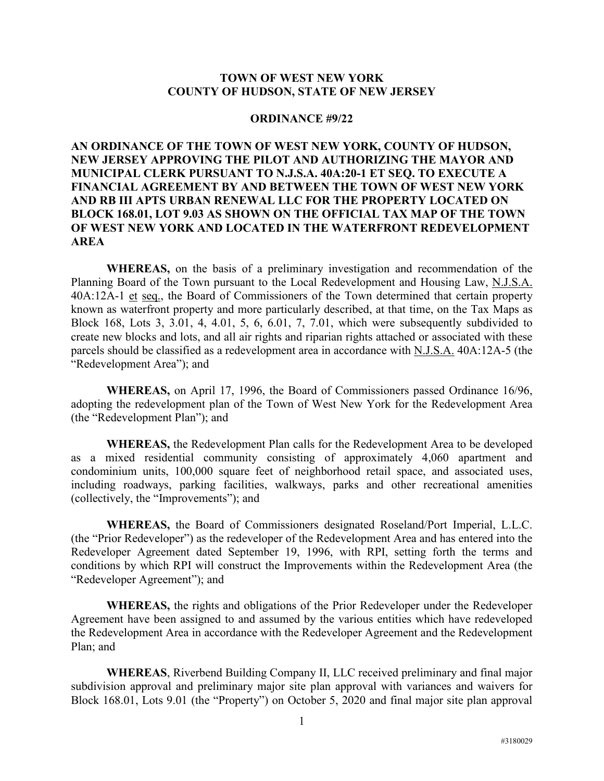## **TOWN OF WEST NEW YORK COUNTY OF HUDSON, STATE OF NEW JERSEY**

## **ORDINANCE #9/22**

## **AN ORDINANCE OF THE TOWN OF WEST NEW YORK, COUNTY OF HUDSON, NEW JERSEY APPROVING THE PILOT AND AUTHORIZING THE MAYOR AND MUNICIPAL CLERK PURSUANT TO N.J.S.A. 40A:20-1 ET SEQ. TO EXECUTE A FINANCIAL AGREEMENT BY AND BETWEEN THE TOWN OF WEST NEW YORK AND RB III APTS URBAN RENEWAL LLC FOR THE PROPERTY LOCATED ON BLOCK 168.01, LOT 9.03 AS SHOWN ON THE OFFICIAL TAX MAP OF THE TOWN OF WEST NEW YORK AND LOCATED IN THE WATERFRONT REDEVELOPMENT AREA**

**WHEREAS,** on the basis of a preliminary investigation and recommendation of the Planning Board of the Town pursuant to the Local Redevelopment and Housing Law, N.J.S.A. 40A:12A-1 et seq., the Board of Commissioners of the Town determined that certain property known as waterfront property and more particularly described, at that time, on the Tax Maps as Block 168, Lots 3, 3.01, 4, 4.01, 5, 6, 6.01, 7, 7.01, which were subsequently subdivided to create new blocks and lots, and all air rights and riparian rights attached or associated with these parcels should be classified as a redevelopment area in accordance with N.J.S.A. 40A:12A-5 (the "Redevelopment Area"); and

**WHEREAS,** on April 17, 1996, the Board of Commissioners passed Ordinance 16/96, adopting the redevelopment plan of the Town of West New York for the Redevelopment Area (the "Redevelopment Plan"); and

**WHEREAS,** the Redevelopment Plan calls for the Redevelopment Area to be developed as a mixed residential community consisting of approximately 4,060 apartment and condominium units, 100,000 square feet of neighborhood retail space, and associated uses, including roadways, parking facilities, walkways, parks and other recreational amenities (collectively, the "Improvements"); and

**WHEREAS,** the Board of Commissioners designated Roseland/Port Imperial, L.L.C. (the "Prior Redeveloper") as the redeveloper of the Redevelopment Area and has entered into the Redeveloper Agreement dated September 19, 1996, with RPI, setting forth the terms and conditions by which RPI will construct the Improvements within the Redevelopment Area (the "Redeveloper Agreement"); and

**WHEREAS,** the rights and obligations of the Prior Redeveloper under the Redeveloper Agreement have been assigned to and assumed by the various entities which have redeveloped the Redevelopment Area in accordance with the Redeveloper Agreement and the Redevelopment Plan; and

**WHEREAS**, Riverbend Building Company II, LLC received preliminary and final major subdivision approval and preliminary major site plan approval with variances and waivers for Block 168.01, Lots 9.01 (the "Property") on October 5, 2020 and final major site plan approval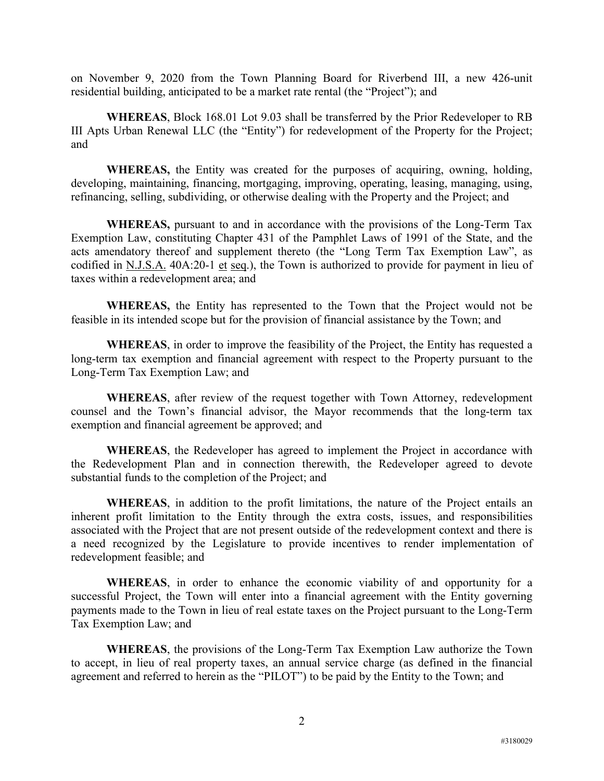on November 9, 2020 from the Town Planning Board for Riverbend III, a new 426-unit residential building, anticipated to be a market rate rental (the "Project"); and

**WHEREAS**, Block 168.01 Lot 9.03 shall be transferred by the Prior Redeveloper to RB III Apts Urban Renewal LLC (the "Entity") for redevelopment of the Property for the Project; and

**WHEREAS,** the Entity was created for the purposes of acquiring, owning, holding, developing, maintaining, financing, mortgaging, improving, operating, leasing, managing, using, refinancing, selling, subdividing, or otherwise dealing with the Property and the Project; and

**WHEREAS,** pursuant to and in accordance with the provisions of the Long-Term Tax Exemption Law, constituting Chapter 431 of the Pamphlet Laws of 1991 of the State, and the acts amendatory thereof and supplement thereto (the "Long Term Tax Exemption Law", as codified in N.J.S.A. 40A:20-1 et seq.), the Town is authorized to provide for payment in lieu of taxes within a redevelopment area; and

**WHEREAS,** the Entity has represented to the Town that the Project would not be feasible in its intended scope but for the provision of financial assistance by the Town; and

**WHEREAS**, in order to improve the feasibility of the Project, the Entity has requested a long-term tax exemption and financial agreement with respect to the Property pursuant to the Long-Term Tax Exemption Law; and

**WHEREAS**, after review of the request together with Town Attorney, redevelopment counsel and the Town's financial advisor, the Mayor recommends that the long-term tax exemption and financial agreement be approved; and

**WHEREAS**, the Redeveloper has agreed to implement the Project in accordance with the Redevelopment Plan and in connection therewith, the Redeveloper agreed to devote substantial funds to the completion of the Project; and

**WHEREAS**, in addition to the profit limitations, the nature of the Project entails an inherent profit limitation to the Entity through the extra costs, issues, and responsibilities associated with the Project that are not present outside of the redevelopment context and there is a need recognized by the Legislature to provide incentives to render implementation of redevelopment feasible; and

**WHEREAS**, in order to enhance the economic viability of and opportunity for a successful Project, the Town will enter into a financial agreement with the Entity governing payments made to the Town in lieu of real estate taxes on the Project pursuant to the Long-Term Tax Exemption Law; and

**WHEREAS**, the provisions of the Long-Term Tax Exemption Law authorize the Town to accept, in lieu of real property taxes, an annual service charge (as defined in the financial agreement and referred to herein as the "PILOT") to be paid by the Entity to the Town; and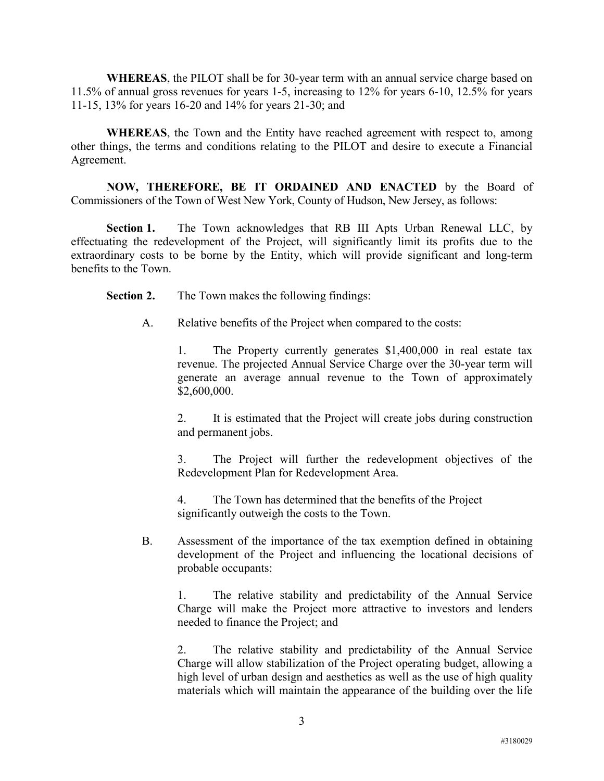**WHEREAS**, the PILOT shall be for 30-year term with an annual service charge based on 11.5% of annual gross revenues for years 1-5, increasing to 12% for years 6-10, 12.5% for years 11-15, 13% for years 16-20 and 14% for years 21-30; and

**WHEREAS**, the Town and the Entity have reached agreement with respect to, among other things, the terms and conditions relating to the PILOT and desire to execute a Financial Agreement.

**NOW, THEREFORE, BE IT ORDAINED AND ENACTED** by the Board of Commissioners of the Town of West New York, County of Hudson, New Jersey, as follows:

Section 1. The Town acknowledges that RB III Apts Urban Renewal LLC, by effectuating the redevelopment of the Project, will significantly limit its profits due to the extraordinary costs to be borne by the Entity, which will provide significant and long-term benefits to the Town.

**Section 2.** The Town makes the following findings:

A. Relative benefits of the Project when compared to the costs:

1. The Property currently generates \$1,400,000 in real estate tax revenue. The projected Annual Service Charge over the 30-year term will generate an average annual revenue to the Town of approximately \$2,600,000.

2. It is estimated that the Project will create jobs during construction and permanent jobs.

3. The Project will further the redevelopment objectives of the Redevelopment Plan for Redevelopment Area.

4. The Town has determined that the benefits of the Project significantly outweigh the costs to the Town.

B. Assessment of the importance of the tax exemption defined in obtaining development of the Project and influencing the locational decisions of probable occupants:

1. The relative stability and predictability of the Annual Service Charge will make the Project more attractive to investors and lenders needed to finance the Project; and

2. The relative stability and predictability of the Annual Service Charge will allow stabilization of the Project operating budget, allowing a high level of urban design and aesthetics as well as the use of high quality materials which will maintain the appearance of the building over the life